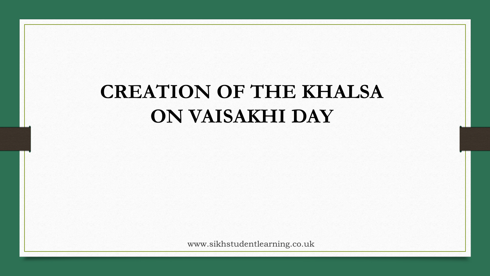# **CREATION OF THE KHALSA ON VAISAKHI DAY**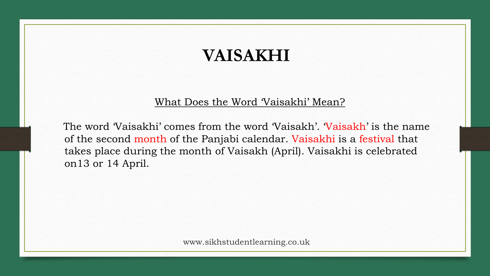# **VAISAKHI**

#### What Does the Word 'Vaisakhi' Mean?

The word 'Vaisakhi' comes from the word 'Vaisakh'. 'Vaisakh' is the name of the second month of the Panjabi calendar. Vaisakhi is a festival that takes place during the month of Vaisakh (April). Vaisakhi is celebrated on13 or 14 April.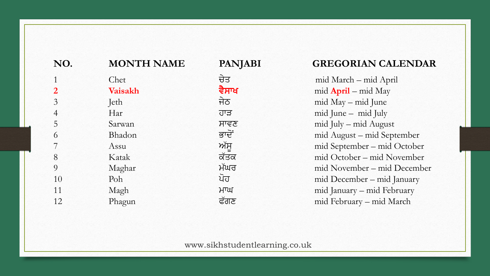| NO.            | <b>MONTH NAME</b> | <b>PANJABI</b> | <b>GREGORIAN CALENDAR</b>   |
|----------------|-------------------|----------------|-----------------------------|
|                | Chet              | ਚੇਤ            | mid March – mid April       |
|                | <b>Vaisakh</b>    | ਵੈਸਾਖ          | $mid$ April – mid May       |
| 3              | Jeth              | ਜੇਠ            | mid May - mid June          |
| $\overline{4}$ | Har               | ਹਾੜ            | mid June - mid July         |
| 5              | Sarwan            | ਸਾਵਣ           | mid July – mid August       |
| 6              | Bhadon            | ਭਾਦੋਂ          | mid August – mid September  |
|                | Assu              | ਅੱਸੂ           | mid September – mid October |
| 8              | Katak             | ਕੱਤਕ           | mid October – mid November  |
| 9              | Maghar            | ਮੱਘਰ           | mid November – mid December |
| 10             | Poh               | ਪੋਹ            | mid December - mid January  |
| 11             | Magh              | HTU            | mid January - mid February  |
| 12             | Phagun            | ਫੱਗਣ           | mid February – mid March    |
|                |                   |                |                             |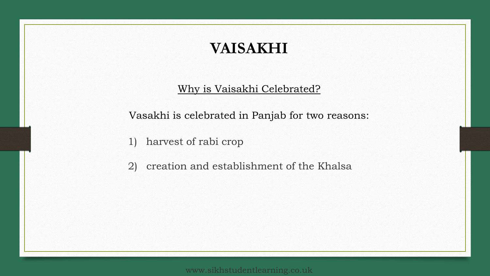# **VAISAKHI**

#### Why is Vaisakhi Celebrated?

Vasakhi is celebrated in Panjab for two reasons:

1) harvest of rabi crop

2) creation and establishment of the Khalsa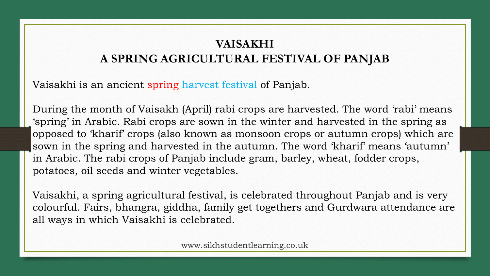## **VAISAKHI A SPRING AGRICULTURAL FESTIVAL OF PANJAB**

Vaisakhi is an ancient spring harvest festival of Panjab.

During the month of Vaisakh (April) rabi crops are harvested. The word 'rabi' means 'spring' in Arabic. Rabi crops are sown in the winter and harvested in the spring as opposed to 'kharif' crops (also known as monsoon crops or autumn crops) which are sown in the spring and harvested in the autumn. The word 'kharif' means 'autumn' in Arabic. The rabi crops of Panjab include gram, barley, wheat, fodder crops, potatoes, oil seeds and winter vegetables.

Vaisakhi, a spring agricultural festival, is celebrated throughout Panjab and is very colourful. Fairs, bhangra, giddha, family get togethers and Gurdwara attendance are all ways in which Vaisakhi is celebrated.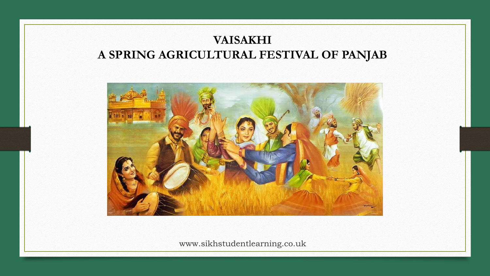### **VAISAKHI A SPRING AGRICULTURAL FESTIVAL OF PANJAB**

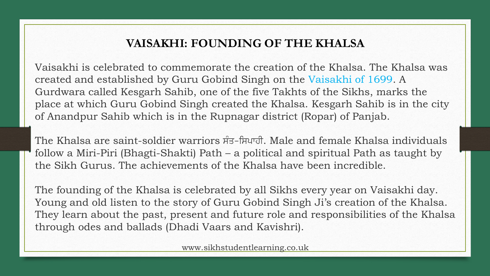#### **VAISAKHI: FOUNDING OF THE KHALSA**

Vaisakhi is celebrated to commemorate the creation of the Khalsa. The Khalsa was created and established by Guru Gobind Singh on the Vaisakhi of 1699. A Gurdwara called Kesgarh Sahib, one of the five Takhts of the Sikhs, marks the place at which Guru Gobind Singh created the Khalsa. Kesgarh Sahib is in the city of Anandpur Sahib which is in the Rupnagar district (Ropar) of Panjab.

The Khalsa are saint-soldier warriors  $\hat{\pi}$ - $\hat{\pi}$  $\hat{\pi}$ . Male and female Khalsa individuals follow a Miri-Piri (Bhagti-Shakti) Path – a political and spiritual Path as taught by the Sikh Gurus. The achievements of the Khalsa have been incredible.

The founding of the Khalsa is celebrated by all Sikhs every year on Vaisakhi day. Young and old listen to the story of Guru Gobind Singh Ji's creation of the Khalsa. They learn about the past, present and future role and responsibilities of the Khalsa through odes and ballads (Dhadi Vaars and Kavishri).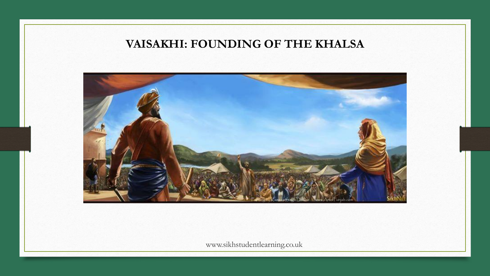#### **VAISAKHI: FOUNDING OF THE KHALSA**

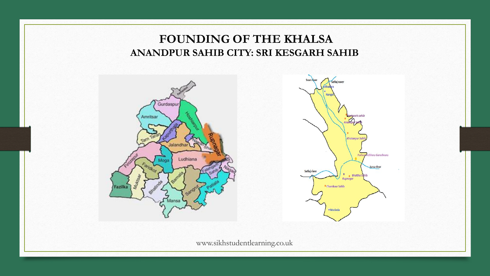#### **FOUNDING OF THE KHALSA ANANDPUR SAHIB CITY: SRI KESGARH SAHIB**



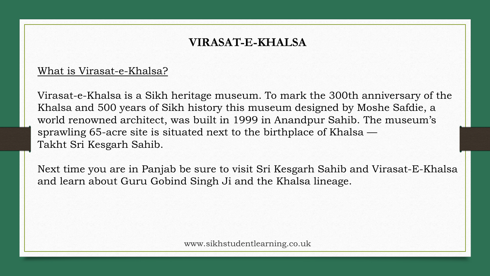#### **VIRASAT-E-KHALSA**

#### What is Virasat-e-Khalsa?

Virasat-e-Khalsa is a Sikh heritage museum. To mark the 300th anniversary of the Khalsa and 500 years of Sikh history this museum designed by Moshe Safdie, a world renowned architect, was built in 1999 in Anandpur Sahib. The museum's sprawling 65-acre site is situated next to the birthplace of Khalsa — Takht Sri Kesgarh Sahib.

Next time you are in Panjab be sure to visit Sri Kesgarh Sahib and Virasat-E-Khalsa and learn about Guru Gobind Singh Ji and the Khalsa lineage.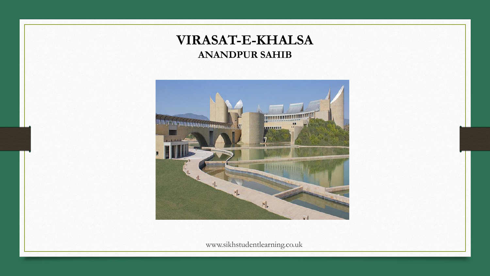### **VIRASAT-E-KHALSA ANANDPUR SAHIB**